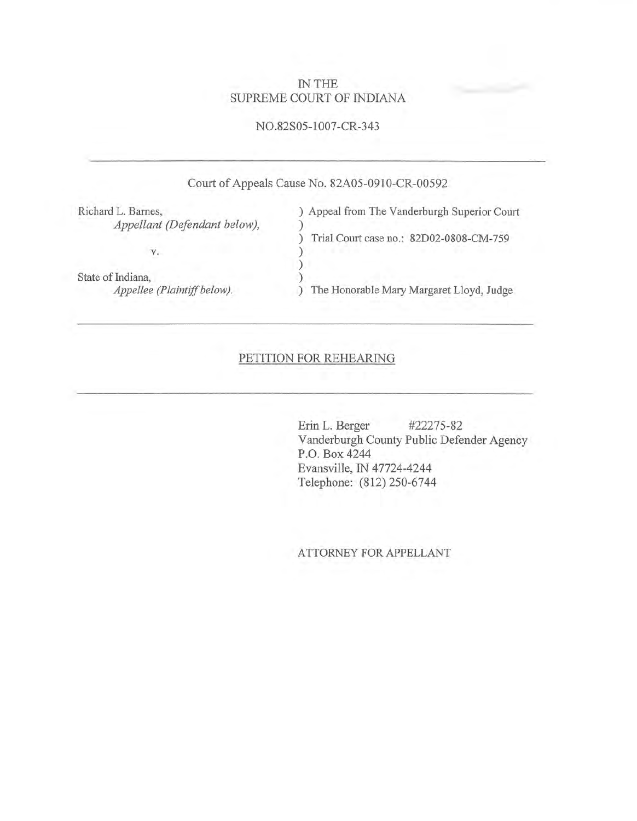## IN THE SUPREME COURT OF INDIANA

### NO.82S05-1007-CR-343

# Court of Appeals Cause No. 82A05-0910-CR-00592

Richard L. Bames, ) Appeal from The Vanderburgh Superior Court *Appellant (Defendant below),*  $\qquad$ ) v. State of Indiana, *Appellee (Plaintiff below).*  ) Trial Court case no.: 82D02-0808-CM-7S9 ) ) ) ) The Honorable Mary Margaret Lloyd, Judge

### PETITION FOR REHEARING

Erin L. Berger #22275-82 Vanderburgh County Public Defender Agency P.O. Box 4244 Evansville, IN 47724-4244 Telephone: (812) 250-6744

ATTORNEY FOR APPELLANT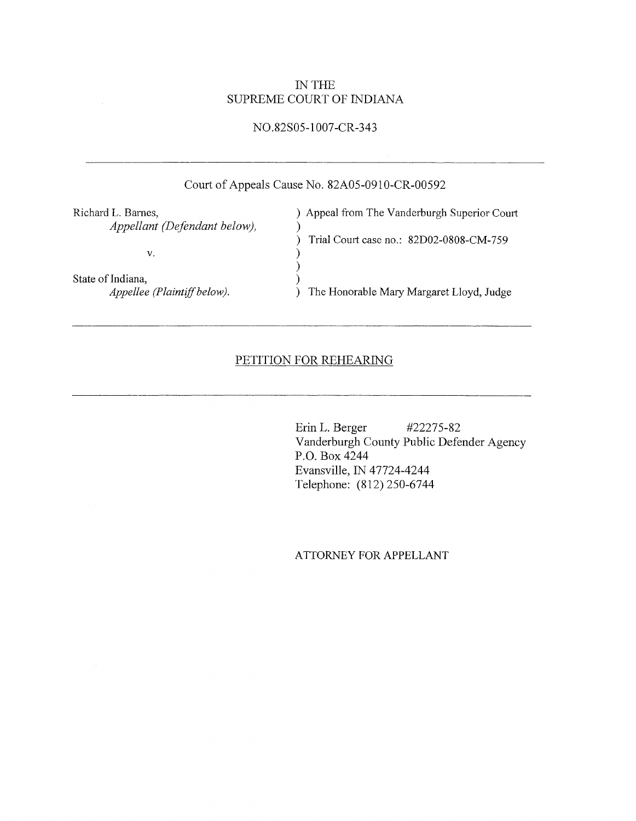### IN THE SUPREME COURT OF INDIANA

# NO.82S05-1007-CR-343

|                                                    | Court of Appeals Cause No. 82A05-0910-CR-00592 |
|----------------------------------------------------|------------------------------------------------|
| Richard L. Barnes,<br>Appellant (Defendant below), | Appeal from The Vanderburgh Superior Court     |
| v.                                                 | Trial Court case no.: 82D02-0808-CM-759        |
| State of Indiana,<br>Appellee (Plaintiff below).   | The Honorable Mary Margaret Lloyd, Judge       |

## PETITION FOR REHEARING

Erin L. Berger #22275-82 Vanderburgh County Public Defender Agency P.O. Box 4244 Evansville, IN 47724-4244 Telephone: (812) 250-6744

A TTORNEY FOR APPELLANT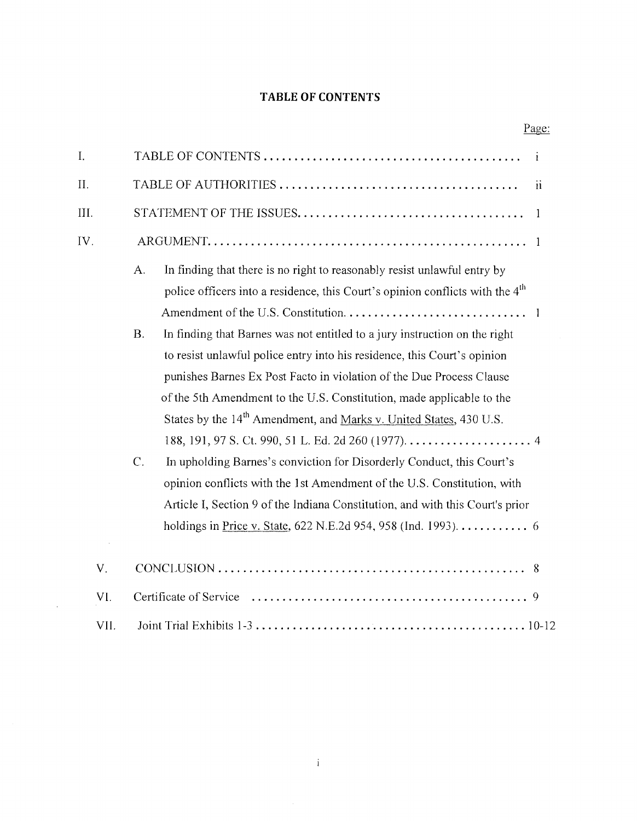# TABLE **OF** CONTENTS

Page:

| I.   | i                                                                                                                                                                                                                                                                                                                              |  |
|------|--------------------------------------------------------------------------------------------------------------------------------------------------------------------------------------------------------------------------------------------------------------------------------------------------------------------------------|--|
| Π.   | $\mathbf{ii}$                                                                                                                                                                                                                                                                                                                  |  |
| Ш.   | 1                                                                                                                                                                                                                                                                                                                              |  |
| IV.  | $\mathbf{1}$                                                                                                                                                                                                                                                                                                                   |  |
|      | In finding that there is no right to reasonably resist unlawful entry by<br>A.<br>police officers into a residence, this Court's opinion conflicts with the 4 <sup>th</sup><br>$\overline{1}$                                                                                                                                  |  |
|      | In finding that Barnes was not entitled to a jury instruction on the right<br><b>B.</b><br>to resist unlawful police entry into his residence, this Court's opinion<br>punishes Barnes Ex Post Facto in violation of the Due Process Clause                                                                                    |  |
|      | of the 5th Amendment to the U.S. Constitution, made applicable to the<br>States by the 14 <sup>th</sup> Amendment, and Marks v. United States, 430 U.S.                                                                                                                                                                        |  |
|      | $\mathcal{C}$ .<br>In upholding Barnes's conviction for Disorderly Conduct, this Court's<br>opinion conflicts with the 1st Amendment of the U.S. Constitution, with<br>Article I, Section 9 of the Indiana Constitution, and with this Court's prior<br>holdings in <u>Price v. State</u> , 622 N.E.2d 954, 958 (Ind. 1993). 6 |  |
| V.   |                                                                                                                                                                                                                                                                                                                                |  |
| VI.  |                                                                                                                                                                                                                                                                                                                                |  |
| VII. |                                                                                                                                                                                                                                                                                                                                |  |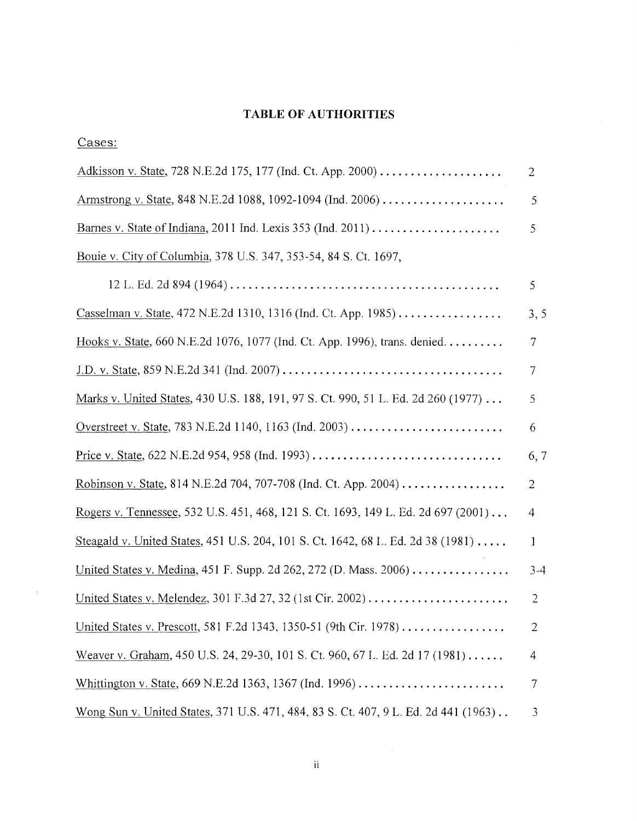# TABLE OF AUTHORITIES

Cases:

 $\sim$   $\sim$ 

| Adkisson v. State, 728 N.E.2d 175, 177 (Ind. Ct. App. 2000)                          | 2         |
|--------------------------------------------------------------------------------------|-----------|
| Armstrong v. State, 848 N.E.2d 1088, 1092-1094 (Ind. 2006)                           | 5         |
| Barnes v. State of Indiana, 2011 Ind. Lexis 353 (Ind. 2011)                          | 5         |
| Bouie v. City of Columbia, 378 U.S. 347, 353-54, 84 S. Ct. 1697,                     |           |
|                                                                                      | 5         |
| Casselman v. State, 472 N.E.2d 1310, 1316 (Ind. Ct. App. 1985)                       | 3, 5      |
| Hooks v. State, 660 N.E.2d 1076, 1077 (Ind. Ct. App. 1996), trans. denied.           | $\cdot 7$ |
|                                                                                      | 7         |
| Marks v. United States, 430 U.S. 188, 191, 97 S. Ct. 990, 51 L. Ed. 2d 260 (1977)    | 5         |
| Overstreet v. State, 783 N.E.2d 1140, 1163 (Ind. 2003)                               | 6         |
|                                                                                      | 6,7       |
| <u>Robinson v. State</u> , 814 N.E.2d 704, 707-708 (Ind. Ct. App. 2004)              | 2         |
| Rogers v. Tennessee, 532 U.S. 451, 468, 121 S. Ct. 1693, 149 L. Ed. 2d 697 (2001)    | 4         |
| Steagald v. United States, 451 U.S. 204, 101 S. Ct. 1642, 68 L. Ed. 2d 38 (1981)     | 1         |
| United States v. Medina, 451 F. Supp. 2d 262, 272 (D. Mass. 2006)                    | $3-4$     |
|                                                                                      | 2         |
| United States v. Prescott, 581 F.2d 1343, 1350-51 (9th Cir. 1978)                    | 2         |
| Weaver v. Graham, 450 U.S. 24, 29-30, 101 S. Ct. 960, 67 L. Ed. 2d 17 (1981)         | 4         |
| Whittington v. State, 669 N.E.2d 1363, 1367 (Ind. 1996)                              | 7         |
| Wong Sun v. United States, 371 U.S. 471, 484, 83 S. Ct. 407, 9 L. Ed. 2d 441 (1963). | 3         |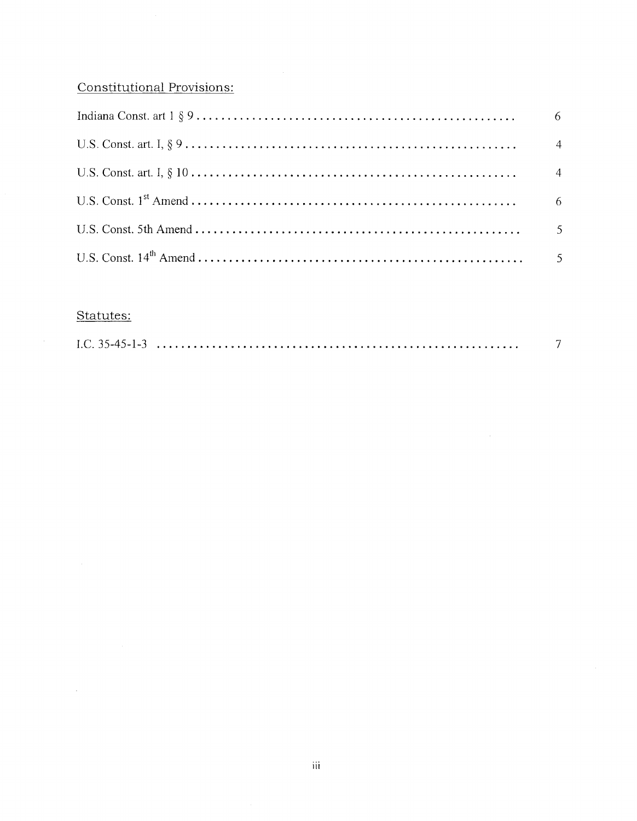# Constitutional Provisions:

| - 6 -          |
|----------------|
| $\sim$ 4       |
| $\overline{4}$ |
| - 6            |
|                |
|                |

# Statutes:

 $\sim 400$  km s  $^{-1}$ 

|--|

 $\sim$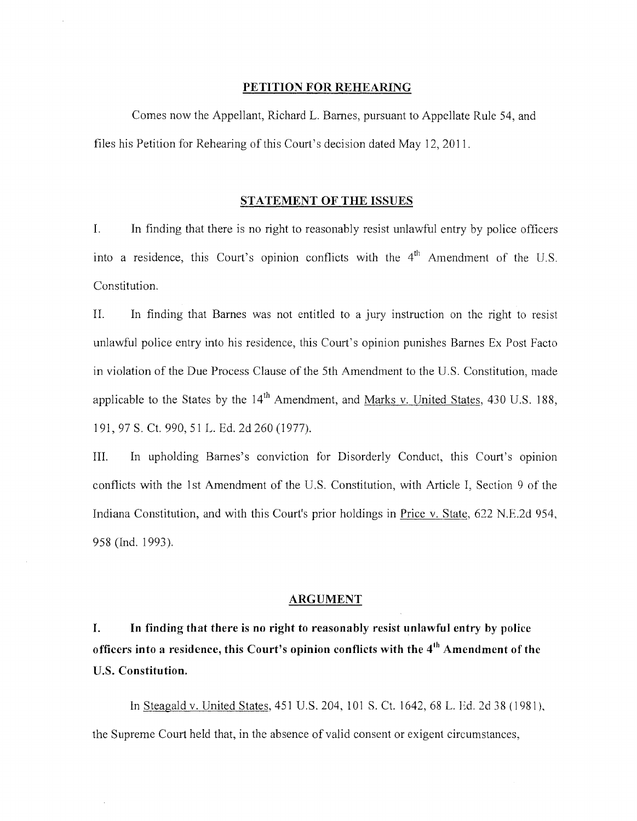### PETITION FOR REHEARING

Comes now the Appellant, Richard L. Barnes, pursuant to Appellate Rule 54, and files his Petition for Rehearing of this Court's decision dated May 12,2011.

### STATEMENT OF THE ISSUES

1. In finding that there is no right to reasonably resist unlawful entry by police officers into a residence, this Court's opinion conflicts with the  $4<sup>th</sup>$  Amendment of the U.S. Constitution.

II. In finding that Barnes was not entitled to a jury instruction on the right to resist unlawful police entry into his residence, this Court's opinion punishes Barnes Ex Post Facto in violation of the Due Process Clause of the 5th Amendment to the U.S. Constitution, made applicable to the States by the  $14<sup>th</sup>$  Amendment, and Marks v. United States, 430 U.S. 188, 191, 97 S. Ct. 990, 51 L. Ed. 2d 260 (1977).

III. In upholding Barnes's conviction for Disorderly Conduct, this Court's opinion conflicts with the 1st Amendment of the U.S. Constitution, with Article I, Section 9 of the Indiana Constitution, and with this Court's prior holdings in Price v. State, 622 N.E.2d 954, 958 (Ind. 1993).

### ARGUMENT

1. In finding that there is no right to reasonably resist unlawful entry by police officers into a residence, this Court's opinion conflicts with the 4<sup>th</sup> Amendment of the U.S. Constitution.

In Steagald v. United States, 451 U.S. 204,101 S. Ct. 1642,68 L. Ed. 2d 38 (1981), the Supreme Court held that, in the absence of valid consent or exigent circumstances,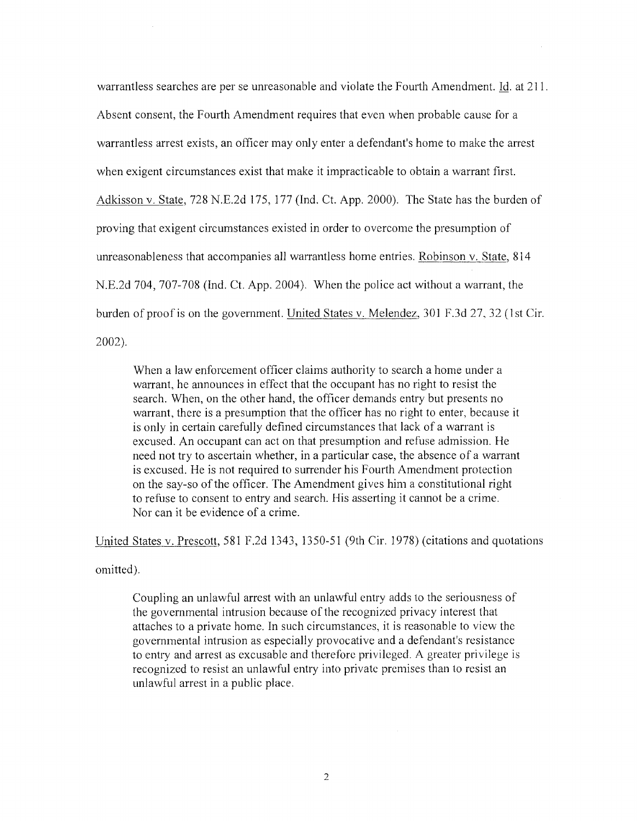warrantless searches are per se unreasonable and violate the Fourth Amendment. Id. at 211. Absent consent, the Fourth Amendment requires that even when probable cause for a warrantless arrest exists, an officer may only enter a defendant's home to make the arrest when exigent circumstances exist that make it impracticable to obtain a warrant first. Adkisson v. State, 728 N.E.2d 175, 177 (Ind. Ct. App. 2000). The State has the burden of proving that exigent circumstances existed in order to overcome the presumption of unreasonableness that accompanies all warrantless home entries. Robinson v. State, 814 N.E.2d 704, 707-708 (Ind. Ct. App. 2004). When the police act without a warrant, the burden of proof is on the government. United States v. Melendez, 301 F.3d 27,32 (lst Cir. 2002).

When a law enforcement officer claims authority to search a home under a warrant, he announces in effect that the occupant has no right to resist the search. When, on the other hand, the officer demands entry but presents no warrant, there is a presumption that the officer has no right to enter, because it is only in certain carefully defined circumstances that lack of a warrant is excused. An occupant can act on that presumption and refuse admission. He need not try to ascertain whether, in a particular case, the absence of a warrant is excused. He is not required to surrender his Fourth Amendment protection on the say-so of the officer. The Amendment gives him a constitutional right to refuse to consent to entry and search. His asserting it cannot be a crime. Nor can it be evidence of a crime.

United States v. Prescott, 581 F.2d 1343, 1350-51 (9th Cir. 1978) (citations and quotations

omitted).

Coupling an unlawful arrest with an unlawful entry adds to the seriousness of the governmental intrusion because of the recognized privacy interest that attaches to a private home. In such circumstances, it is reasonable to view the governmental intrusion as especially provocative and a defendant's resistance to entry and arrest as excusable and therefore privileged. A greater privilege is recognized to resist an unlawful entry into private premises than to resist an unlawful arrest in a public place.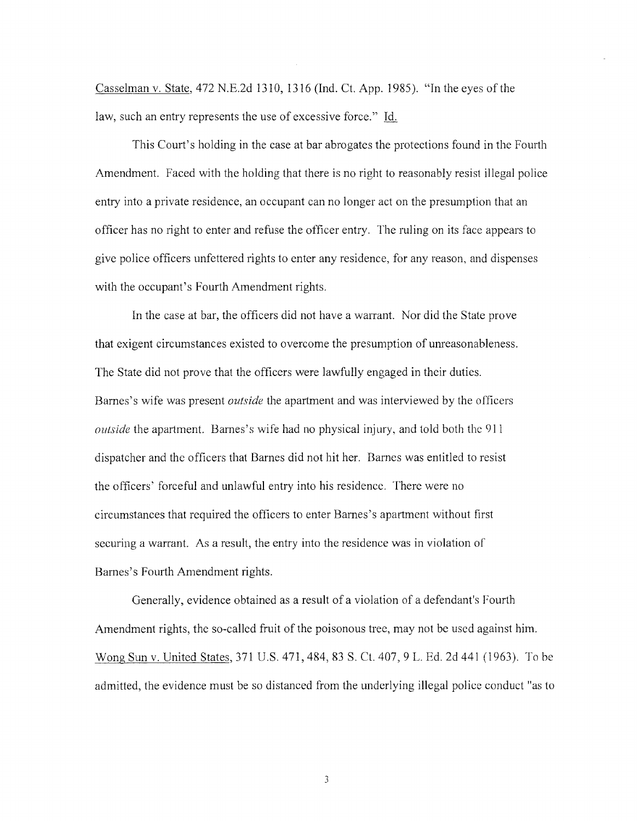Casselman v. State, 472 N.E.2d 1310, 1316 (Ind. Ct. App. 1985). "In the eyes of the law, such an entry represents the use of excessive force." Id.

This Court's holding in the case at bar abrogates the protections found in the Fourth Amendment. Faced with the holding that there is no right to reasonably resist illegal police entry into a private residence, an occupant can no longer act on the presumption that an officer has no right to enter and refuse the officer entry. The ruling on its face appears to give police officers unfettered rights to enter any residence, for any reason, and dispenses with the occupant's Fourth Amendment rights.

**In** the case at bar, the officers did not have a warrant. Nor did the State prove that exigent circumstances existed to overcome the presumption of unreasonableness. The State did not prove that the officers were lawfully engaged in their duties. Barnes's wife was present *outside* the apartment and was interviewed by the officers *outside* the apartment. Barnes's wife had no physical injury, and told both the 911 dispatcher and the officers that Barnes did not hit her. Barnes was entitled to resist the officers' forceful and unlawful entry into his residence. There were no circumstances that required the officers to enter Barnes's apartment without first securing a warrant. As a result, the entry into the residence was in violation of Barnes's Fourth Amendment rights.

Generally, evidence obtained as a result of a violation of a defendant's Fourth Amendment rights, the so-called fruit of the poisonous tree, may not be used against him. Wong Sun v. United States, 371 U.S. 471,484,83 S. Ct. 407, 9 L. Ed. 2d 441 (1963). To be admitted, the evidence must be so distanced from the underlying illegal police conduct "as to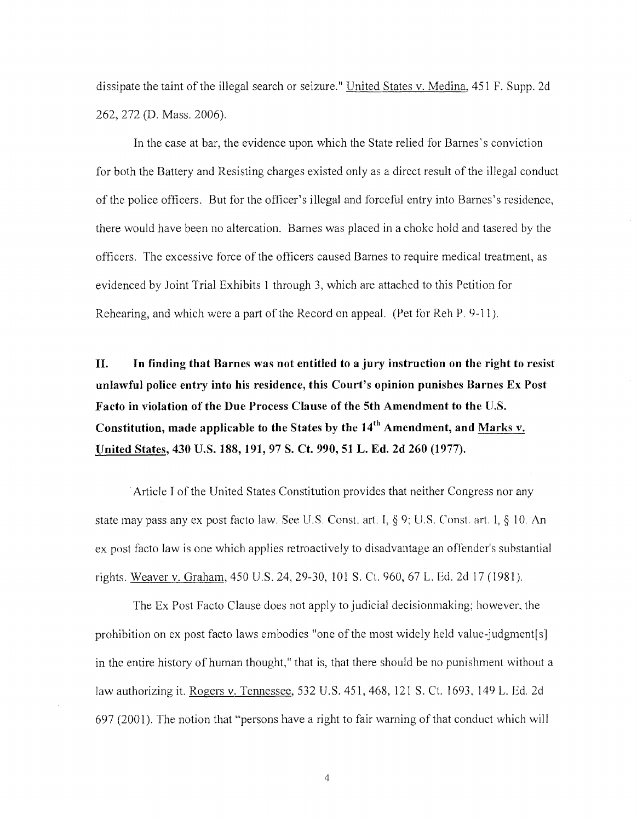dissipate the taint of the illegal search or seizure." United States v. Medina, 451 F. Supp. 2d 262,272 (D. Mass. 2006).

In the case at bar, the evidence upon which the State relied for Barnes's conviction for both the Battery and Resisting charges existed only as a direct result of the illegal conduct ofthe police officers. But for the officer's illegal and forceful entry into Barnes's residence, there would have been no altercation. Barnes was placed in a choke hold and tasered by the officers. The excessive force of the officers caused Barnes to require medical treatment, as evidenced by Joint Trial Exhibits 1 through 3, which are attached to this Petition for Rehearing, and which were a part of the Record on appeal. (Pet for Reh P. 9-11).

II. In finding that Barnes was not entitled to a jury instruction on the right to resist unlawful police entry into his residence, this Court's opinion punishes Barnes Ex Post Facto in violation of the Due Process Clause of the 5th Amendment to the U.S. Constitution, made applicable to the States by the  $14<sup>th</sup>$  Amendment, and Marks v. United States, 430 U.S. 188,191,97 S. Ct. 990, 51 L. Ed. 2d 260 (1977) .

Article I of the United States Constitution provides that neither Congress nor any state may pass any ex post facto law. See U.S. Const. art. I, § 9; U.S. Const. art. I, § 10. An ex post facto law is one which applies retroactively to disadvantage an offender's substantial rights. Weaver v. Graham, 450 U.S. 24,29-30, 101 S. Ct. 960, 67 L. Ed. 2d 17 (1981).

The Ex Post Facto Clause does not apply to judicial decisionmaking; however, the prohibition on ex post facto laws embodies "one of the most widely held value-judgment[s] in the entire history of human thought," that is, that there should be no punishment without a law authorizing it. Rogers v. Tennessee, 532 U.S. 451, 468,121 S. Ct. 1693, 149 L. Ed. 2d 697 (2001). The notion that "persons have a right to fair warning of that conduct which will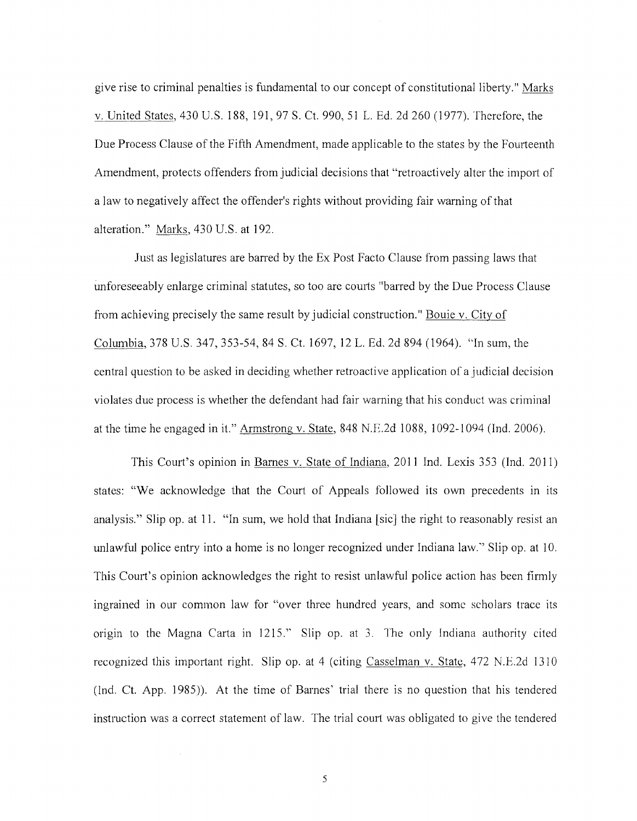give rise to criminal penalties is fundamental to our concept of constitutional liberty." Marks v. United States, 430 U.S. 188, 191, 97 S. Ct. 990, 51 L. Ed. 2d 260 (1977). Therefore, the Due Process Clause of the Fifth Amendment, made applicable to the states by the Fourteenth Amendment, protects offenders from judicial decisions that "retroactively alter the import of a law to negatively affect the offender's rights without providing fair warning of that alteration." Marks, 430 U.S. at 192.

Just as legislatures are barred by the Ex Post Facto Clause from passing laws that unforeseeably enlarge criminal statutes, so too are courts "barred by the Due Process Clause from achieving precisely the same result by judicial construction." Bouie v. City of Columbia, 378 U.S. 347,353-54,84 S. Ct. 1697, 12 L. Ed. 2d 894 (1964). "In sum, the central question to be asked in deciding whether retroactive application of a judicial decision violates due process is whether the defendant had fair warning that his conduct was criminal at the time he engaged in it." Armstrong v. State, 848 N.E.2d 1088, 1092-1094 (Ind. 2006).

This Court's opinion in Barnes v. State of Indiana, 2011 Ind. Lexis 353 (Ind. 2011) states: "We acknowledge that the Court of Appeals followed its own precedents in its analysis." Slip op. at 11. "In sum, we hold that Indiana [ sic] the right to reasonably resist an unlawful police entry into a home is no longer recognized under Indiana law." Slip op. at 10. This Court's opinion acknowledges the right to resist unlawful police action has been firmly ingrained in our common law for "over three hundred years, and some scholars trace its origin to the Magna Carta in 1215." Slip op. at 3. The only Indiana authority cited recognized this important right. Slip op. at 4 (citing Casselman v. State, 472 N.E.2d 1310 (Ind. Ct. App. 1985)). At the time of Barnes' trial there is no question that his tendered instmction was a correct statement of law. The trial court was obligated to give the tendered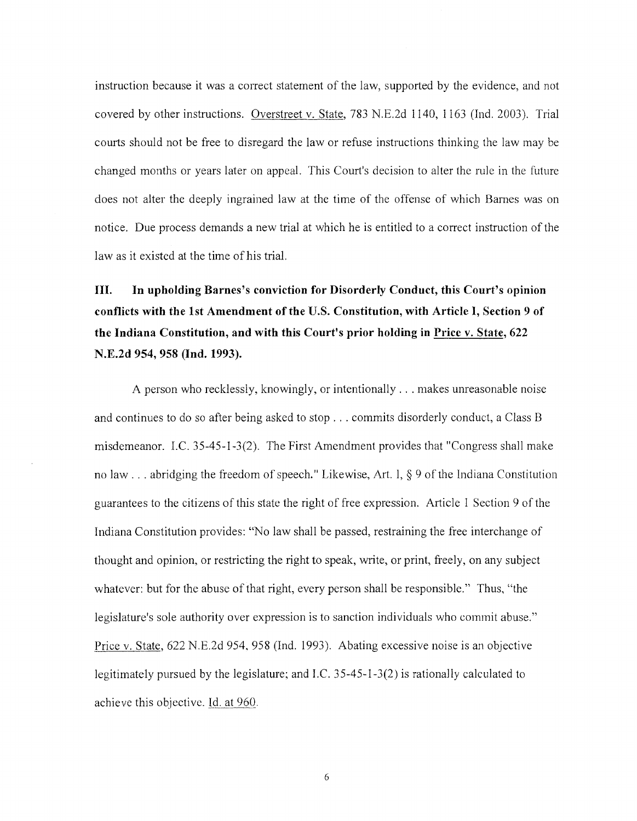instruction because it was a correct statement of the law, supported by the evidence, and not covered by other instructions. Overstreet v. State, 783 N.E.2d 1140, 1163 (Ind. 2003). Trial courts should not be free to disregard the law or refuse instructions thinking the law may be changed months or years later on appeal. This Court's decision to alter the rule in the future does not alter the deeply ingrained law at the time of the offense of which Barnes was on notice. Due process demands a new trial at which he is entitled to a correct instruction of the law as it existed at the time of his trial.

# III. In upholding Barnes's conviction for Disorderly Conduct, this Court's opinion conflicts with the lst Amendment of the U.S. Constitution, with Article I, Section 9 of the Indiana Constitution, and with this Court's prior holding in Price v. State, 622 N.E.2d 954, 958 (Ind. 1993).

A person who recklessly, knowingly, or intentionally  $\ldots$  makes unreasonable noise and continues to do so after being asked to stop ... commits disorderly conduct, a Class B misdemeanor. I.C.  $35-45-1-3(2)$ . The First Amendment provides that "Congress shall make no law ... abridging the freedom of speech." Likewise, Art. I, § 9 of the Indiana Constitution guarantees to the citizens of this state the right of free expression. Article 1 Section 9 of the Indiana Constitution provides: "No law shall be passed, restraining the free interchange of thought and opinion, or restricting the right to speak, write, or print, freely, on any subject whatever: but for the abuse of that right, every person shall be responsible." Thus, "the legislature's sole authority over expression is to sanction individuals who commit abuse." Price v. State, 622 N.E.2d 954, 958 (Ind. 1993). Abating excessive noise is an objective legitimately pursued by the legislature; and I.C.  $35-45-1-3(2)$  is rationally calculated to achieve this objective. Id. at 960.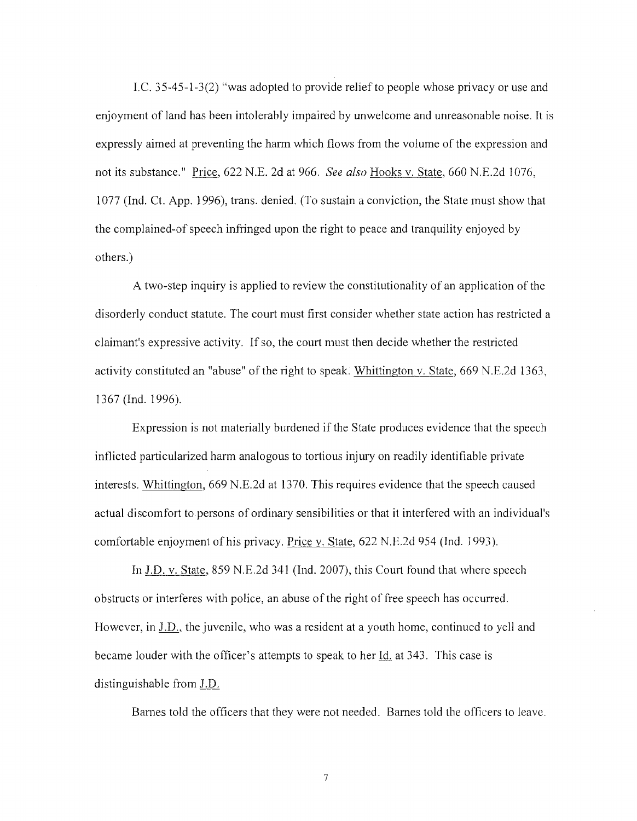I.C. 35-45-1-3(2) "was adopted to provide relief to people whose privacy or use and enjoyment of land has been intolerably impaired by unwelcome and unreasonable noise. It is expressly aimed at preventing the harm which flows from the volume of the expression and not its substance." Price, 622 N.E. 2d at 966. *See also* Hooks v. State, 660 N.E.2d 1076, 1077 (Ind. Ct. App. 1996), trans. denied. (To sustain a conviction, the State must show that the complained-of speech infringed upon the right to peace and tranquility enjoyed by others.)

A two-step inquiry is applied to review the constitutionality of an application of the disorderly conduct statute. The court must first consider whether state action has restricted a claimant's expressive activity. If so, the court must then decide whether the restricted activity constituted an "abuse" of the right to speak. Whittington v. State, 669 N.E.2d 1363, 1367 (Ind. 1996).

Expression is not materially burdened if the State produces evidence that the speech inflicted particularized harm analogous to tortious injury on readily identifiable private interests. Whittington, 669 N.E.2d at 1370. This requires evidence that the speech caused actual discomfort to persons of ordinary sensibilities or that it interfered with an individual's comfortable enjoyment of his privacy. Price v. State, 622 N.E.2d 954 (Ind. J 993).

In J.D. v. State, 859 N.E.2d 341 (Ind. 2007), this Court found that where speech obstructs or interferes with police, an abuse of the right of free speech has occurred. However, in J.D., the juvenile, who was a resident at a youth home, continued to yell and became louder with the officer's attempts to speak to her Id. at 343. This case is distinguishable from J.D.

Barnes told the officers that they were not needed. Barnes told the officers to leave.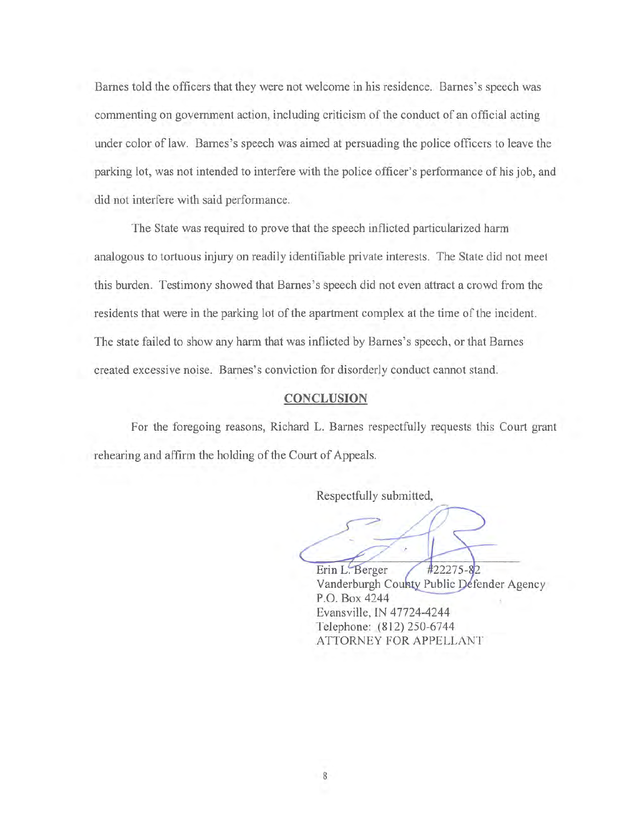Barnes told the officers that they were not welcome in his residence. Barnes's speech was commenting on government action, including criticism of the conduct of an official acting under color of law. Barnes's speech was aimed at persuading the police officers to leave the parking lot, was not intended to interfere with the police officer's performance of his job, and did not interfere with said performance.

The State was required to prove that the speech inflicted particularized harm analogous to tortuous injury on readily identifiable private interests. The State did not meet this burden. Testimony showed that Barnes's speech did not even attract a crowd from the residents that were in the parking lot of the apartment complex at the time of the incident. The state failed to show any harm that was inflicted by Barnes's speech, or that Barnes created excessive noise. Barnes's conviction for disorderly conduct cannot stand.

### **CONCLUSION**

For the foregoing reasons, Richard L. Barnes respectfully requests this Court grant rehearing and affirm the holding of the Court of Appeals.

Respectfully submitted,

 $\hat{\mathscr{D}}$ 

#22275-82 Erin L. Berger Vanderburgh County Public Defender Agency P.O. Box 4244 Evansville, IN 47724-4244 Telephone: (812) 250-6744 ATTORNEY FOR APPELLANT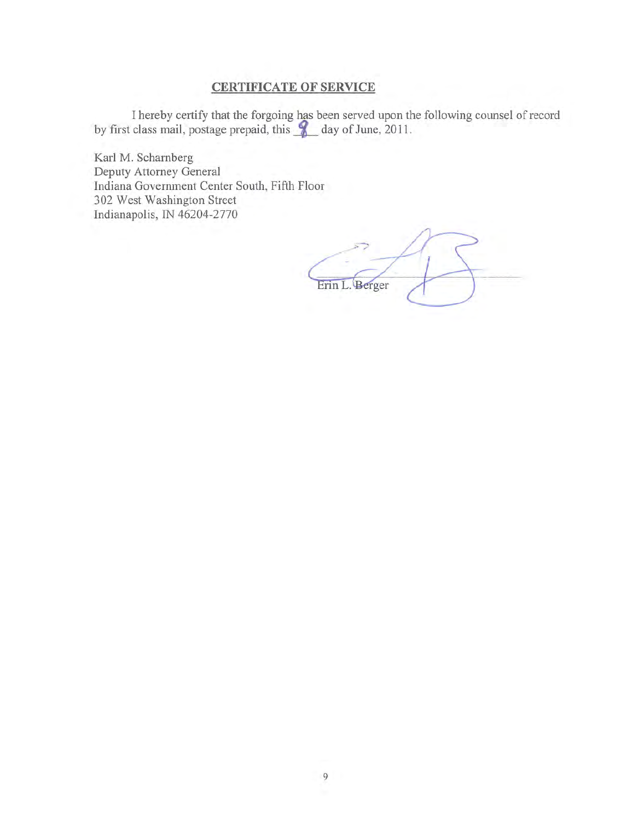## **CERTIFICATE OF SERVICE**

I hereby certify that the forgoing has been served upon the following counsel of record by first class mail, postage prepaid, this  $\triangle$  day of June, 2011.

Karl M. Scharnberg Deputy Attorney General Indiana Government Center South, Fifth Floor 302 West Washington Street Indianapolis, IN 46204-2770

Erin L. Berger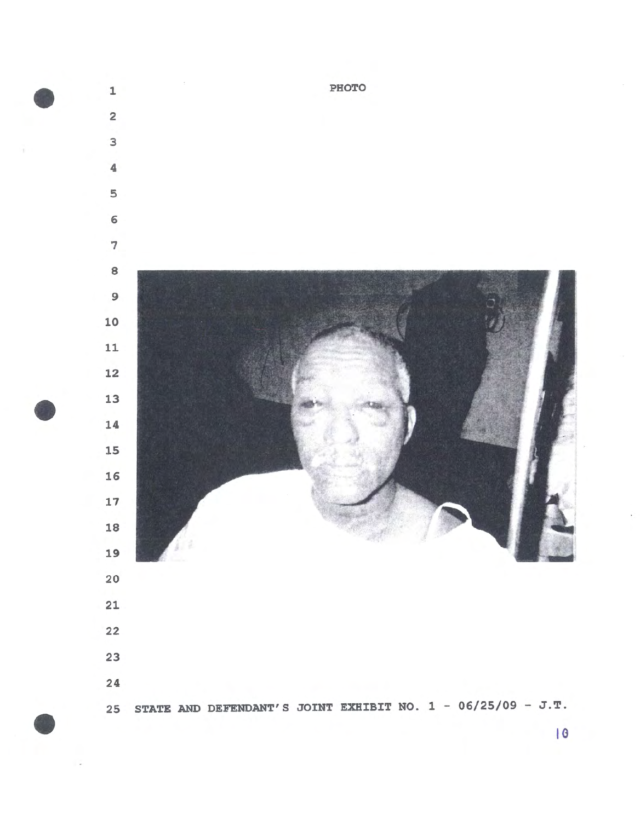

•

•

•

**to**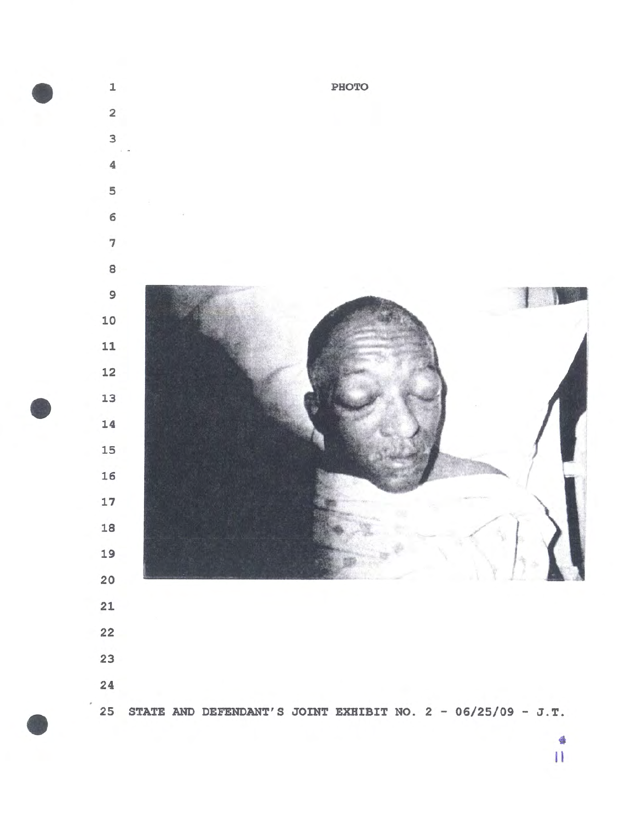

•

•

•

 $\frac{4}{11}$